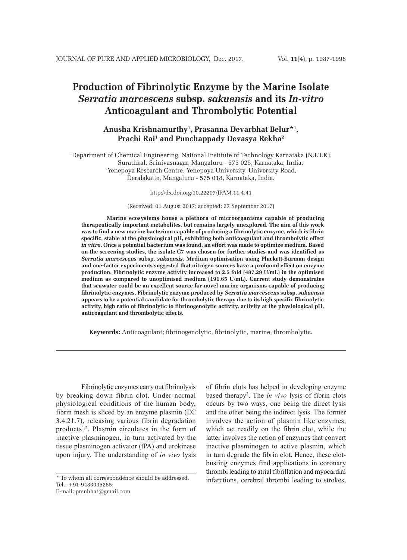# **Production of Fibrinolytic Enzyme by the Marine Isolate**  *Serratia marcescens* **subsp.** *sakuensis* **and its** *In-vitro* **Anticoagulant and Thrombolytic Potential**

# **Anusha Krishnamurthy1 , Prasanna Devarbhat Belur\*1 , Prachi Rai1 and Punchappady Devasya Rekha2**

1 Department of Chemical Engineering, National Institute of Technology Karnataka (N.I.T.K), Surathkal, Srinivasnagar, Mangaluru - 575 025, Karnataka, India. 2 Yenepoya Research Centre, Yenepoya University, University Road, Deralakatte, Mangaluru - 575 018, Karnataka, India.

#### http://dx.doi.org/10.22207/JPAM.11.4.41

#### (Received: 01 August 2017; accepted: 27 September 2017)

**Marine ecosystems house a plethora of microorganisms capable of producing therapeutically important metabolites, but remains largely unexplored. The aim of this work was to find a new marine bacterium capable of producing a fibrinolytic enzyme, which is fibrin specific, stable at the physiological pH, exhibiting both anticoagulant and thrombolytic effect**  *in vitro***. Once a potential bacterium was found, an effort was made to optimize medium. Based on the screening studies, the isolate C7 was chosen for further studies and was identified as**  *Serratia marcescens* **subsp.** *sakuensis***. Medium optimisation using Plackett-Burman design and one-factor experiments suggested that nitrogen sources have a profound effect on enzyme production. Fibrinolytic enzyme activity increased to 2.5 fold (487.29 U/mL) in the optimised medium as compared to unoptimised medium (191.65 U/mL). Current study demonstrates that seawater could be an excellent source for novel marine organisms capable of producing fibrinolytic enzymes. Fibrinolytic enzyme produced by** *Serratia marcescens* **subsp.** *sakuensis* **appears to be a potential candidate for thrombolytic therapy due to its high specific fibrinolytic activity, high ratio of fibrinolytic to fibrinogenolytic activity, activity at the physiological pH, anticoagulant and thrombolytic effects.** 

**Keywords:** Anticoagulant; fibrinogenolytic, fibrinolytic, marine, thrombolytic.

Fibrinolytic enzymes carry out fibrinolysis by breaking down fibrin clot. Under normal physiological conditions of the human body, fibrin mesh is sliced by an enzyme plasmin (EC 3.4.21.7), releasing various fibrin degradation products<sup>1,2</sup>. Plasmin circulates in the form of inactive plasminogen, in turn activated by the tissue plasminogen activator (tPA) and urokinase upon injury. The understanding of *in vivo* lysis

E-mail: prsnbhat@gmail.com

of fibrin clots has helped in developing enzyme based therapy2 . The *in vivo* lysis of fibrin clots occurs by two ways, one being the direct lysis and the other being the indirect lysis. The former involves the action of plasmin like enzymes, which act readily on the fibrin clot, while the latter involves the action of enzymes that convert inactive plasminogen to active plasmin, which in turn degrade the fibrin clot. Hence, these clotbusting enzymes find applications in coronary thrombi leading to atrial fibrillation and myocardial infarctions, cerebral thrombi leading to strokes,

<sup>\*</sup> To whom all correspondence should be addressed. Tel.: +91-9483035265;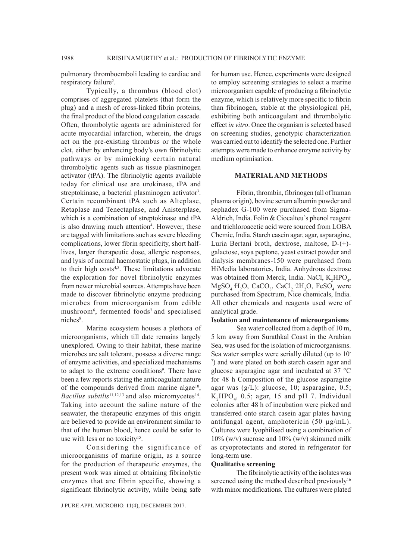pulmonary thromboemboli leading to cardiac and respiratory failure<sup>2</sup>.

Typically, a thrombus (blood clot) comprises of aggregated platelets (that form the plug) and a mesh of cross-linked fibrin proteins, the final product of the blood coagulation cascade. Often, thrombolytic agents are administered for acute myocardial infarction, wherein, the drugs act on the pre-existing thrombus or the whole clot, either by enhancing body's own fibrinolytic pathways or by mimicking certain natural thrombolytic agents such as tissue plasminogen activator (tPA). The fibrinolytic agents available today for clinical use are urokinase, tPA and streptokinase, a bacterial plasminogen activator<sup>3</sup>. Certain recombinant tPA such as Alteplase, Retaplase and Tenectaplase, and Anisterplase, which is a combination of streptokinase and tPA is also drawing much attention<sup>4</sup>. However, these are tagged with limitations such as severe bleeding complications, lower fibrin specificity, short halflives, larger therapeutic dose, allergic responses, and lysis of normal haemostatic plugs, in addition to their high costs<sup>4,5</sup>. These limitations advocate the exploration for novel fibrinolytic enzymes from newer microbial sources. Attempts have been made to discover fibrinolytic enzyme producing microbes from microorganism from edible mushroom6 , fermented foods7 and specialised niches<sup>8</sup>.

Marine ecosystem houses a plethora of microorganisms, which till date remains largely unexplored. Owing to their habitat, these marine microbes are salt tolerant, possess a diverse range of enzyme activities, and specialized mechanisms to adapt to the extreme conditions<sup>9</sup>. There have been a few reports stating the anticoagulant nature of the compounds derived from marine algae<sup>10</sup>, *Bacillus subtilis*<sup>11,12,13</sup> and also micromycetes<sup>14</sup>. Taking into account the saline nature of the seawater, the therapeutic enzymes of this origin are believed to provide an environment similar to that of the human blood, hence could be safer to use with less or no toxicity<sup>15</sup>.

Considering the significance of microorganisms of marine origin, as a source for the production of therapeutic enzymes, the present work was aimed at obtaining fibrinolytic enzymes that are fibrin specific, showing a significant fibrinolytic activity, while being safe

J PURE APPL MICROBIO*,* **11**(4), DECEMBER 2017.

for human use. Hence, experiments were designed to employ screening strategies to select a marine microorganism capable of producing a fibrinolytic enzyme, which is relatively more specific to fibrin than fibrinogen, stable at the physiological pH, exhibiting both anticoagulant and thrombolytic effect *in vitro*. Once the organism is selected based on screening studies, genotypic characterization was carried out to identify the selected one. Further attempts were made to enhance enzyme activity by medium optimisation.

# **MATERIAL AND METHODS**

Fibrin, thrombin, fibrinogen (all of human plasma origin), bovine serum albumin powder and sephadex G-100 were purchased from Sigma-Aldrich, India. Folin & Ciocalteu's phenol reagent and trichloroacetic acid were sourced from LOBA Chemie, India. Starch casein agar, agar, asparagine, Luria Bertani broth, dextrose, maltose, D-(+) galactose, soya peptone, yeast extract powder and dialysis membranes-150 were purchased from HiMedia laboratories, India. Anhydrous dextrose was obtained from Merck, India. NaCl,  $K_2HPO_4$ ,  $MgSO<sub>4</sub> H<sub>2</sub>O$ , CaCO<sub>3</sub>, CaCl<sub>2</sub> 2H<sub>2</sub>O, FeSO<sub>4</sub> were purchased from Spectrum, Nice chemicals, India. All other chemicals and reagents used were of analytical grade.

#### **Isolation and maintenance of microorganisms**

Sea water collected from a depth of 10 m, 5 km away from Surathkal Coast in the Arabian Sea, was used for the isolation of microorganisms. Sea water samples were serially diluted (up to 10- 7 ) and were plated on both starch casein agar and glucose asparagine agar and incubated at 37 °C for 48 h Composition of the glucose asparagine agar was (g/L): glucose, 10; asparagine, 0.5;  $K_2 HPO_4$ , 0.5; agar, 15 and pH 7. Individual colonies after 48 h of incubation were picked and transferred onto starch casein agar plates having antifungal agent, amphotericin (50 µg/mL). Cultures were lyophilised using a combination of  $10\%$  (w/v) sucrose and  $10\%$  (w/v) skimmed milk as cryoprotectants and stored in refrigerator for long-term use.

#### **Qualitative screening**

The fibrinolytic activity of the isolates was screened using the method described previously<sup>16</sup> with minor modifications. The cultures were plated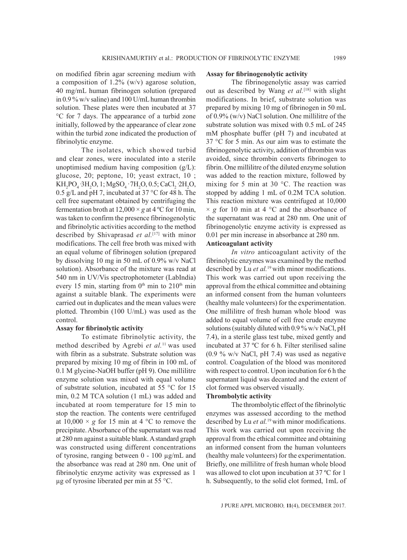on modified fibrin agar screening medium with a composition of 1.2% (w/v) agarose solution, 40 mg/mL human fibrinogen solution (prepared in 0.9 % w/v saline) and 100 U/mL human thrombin solution. These plates were then incubated at 37 °C for 7 days. The appearance of a turbid zone initially, followed by the appearance of clear zone within the turbid zone indicated the production of fibrinolytic enzyme.

The isolates, which showed turbid and clear zones, were inoculated into a sterile unoptimised medium having composition (g/L): glucose, 20; peptone, 10; yeast extract, 10 ;  $KH_2PO_4$   $3H_2O$ , 1;  $MgSO_4$   $7H_2O$ , 0.5;  $CaCl_2$   $2H_2O$ , 0.5 g/L and pH 7, incubated at 37  $^{\circ}$ C for 48 h. The cell free supernatant obtained by centrifuging the fermentation broth at  $12,000 \times g$  at  $4^{\circ}$ C for 10 min, was taken to confirm the presence fibrinogenolytic and fibrinolytic activities according to the method described by Shivaprasad *et al.*[17] with minor modifications. The cell free broth was mixed with an equal volume of fibrinogen solution (prepared by dissolving 10 mg in 50 mL of 0.9% w/v NaCl solution). Absorbance of the mixture was read at 540 nm in UV/Vis spectrophotometer (LabIndia) every 15 min, starting from  $0<sup>th</sup>$  min to  $210<sup>th</sup>$  min against a suitable blank. The experiments were carried out in duplicates and the mean values were plotted. Thrombin (100 U/mL) was used as the control.

#### **Assay for fibrinolytic activity**

To estimate fibrinolytic activity, the method described by Agrebi *et al.*11 was used with fibrin as a substrate. Substrate solution was prepared by mixing 10 mg of fibrin in 100 mL of 0.1 M glycine-NaOH buffer (pH 9). One millilitre enzyme solution was mixed with equal volume of substrate solution, incubated at 55 °C for 15 min, 0.2 M TCA solution (1 mL) was added and incubated at room temperature for 15 min to stop the reaction. The contents were centrifuged at  $10,000 \times g$  for 15 min at 4 °C to remove the precipitate. Absorbance of the supernatant was read at 280 nm against a suitable blank. A standard graph was constructed using different concentrations of tyrosine, ranging between 0 - 100 µg/mL and the absorbance was read at 280 nm. One unit of fibrinolytic enzyme activity was expressed as 1 µg of tyrosine liberated per min at 55 °C.

#### **Assay for fibrinogenolytic activity**

The fibrinogenolytic assay was carried out as described by Wang *et al.*[18] with slight modifications. In brief, substrate solution was prepared by mixing 10 mg of fibrinogen in 50 mL of 0.9% (w/v) NaCl solution. One millilitre of the substrate solution was mixed with 0.5 mL of 245 mM phosphate buffer (pH 7) and incubated at 37 °C for 5 min. As our aim was to estimate the fibrinogenolytic activity, addition of thrombin was avoided, since thrombin converts fibrinogen to fibrin. One millilitre of the diluted enzyme solution was added to the reaction mixture, followed by mixing for 5 min at 30 °C. The reaction was stopped by adding 1 mL of 0.2M TCA solution. This reaction mixture was centrifuged at 10,000  $\times g$  for 10 min at 4  $\degree$ C and the absorbance of the supernatant was read at 280 nm. One unit of fibrinogenolytic enzyme activity is expressed as 0.01 per min increase in absorbance at 280 nm. **Anticoagulant activity**

*In vitro* anticoagulant activity of the fibrinolytic enzymes was examined by the method described by Lu *et al.*19 with minor modifications. This work was carried out upon receiving the approval from the ethical committee and obtaining an informed consent from the human volunteers (healthy male volunteers) for the experimentation. One millilitre of fresh human whole blood was added to equal volume of cell free crude enzyme solutions (suitably diluted with 0.9 % w/v NaCl, pH 7.4), in a sterile glass test tube, mixed gently and incubated at 37 ºC for 6 h. Filter sterilised saline (0.9 % w/v NaCl, pH 7.4) was used as negative control. Coagulation of the blood was monitored with respect to control. Upon incubation for 6 h the supernatant liquid was decanted and the extent of clot formed was observed visually.

# **Thrombolytic activity**

The thrombolytic effect of the fibrinolytic enzymes was assessed according to the method described by Lu *et al.*19 with minor modifications. This work was carried out upon receiving the approval from the ethical committee and obtaining an informed consent from the human volunteers (healthy male volunteers) for the experimentation. Briefly, one millilitre of fresh human whole blood was allowed to clot upon incubation at 37 ºC for 1 h. Subsequently, to the solid clot formed, 1mL of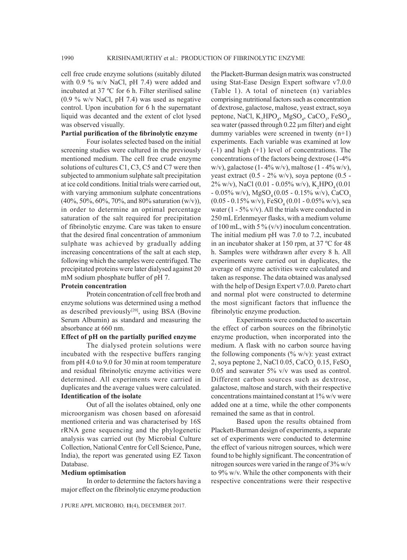cell free crude enzyme solutions (suitably diluted with 0.9 % w/v NaCl, pH 7.4) were added and incubated at 37 ºC for 6 h. Filter sterilised saline (0.9 % w/v NaCl, pH 7.4) was used as negative control. Upon incubation for 6 h the supernatant liquid was decanted and the extent of clot lysed was observed visually.

## **Partial purification of the fibrinolytic enzyme**

Four isolates selected based on the initial screening studies were cultured in the previously mentioned medium. The cell free crude enzyme solutions of cultures C1, C3, C5 and C7 were then subjected to ammonium sulphate salt precipitation at ice cold conditions. Initial trials were carried out, with varying ammonium sulphate concentrations  $(40\%, 50\%, 60\%, 70\%, \text{and } 80\% \text{ saturation (w/v)}),$ in order to determine an optimal percentage saturation of the salt required for precipitation of fibrinolytic enzyme. Care was taken to ensure that the desired final concentration of ammonium sulphate was achieved by gradually adding increasing concentrations of the salt at each step, following which the samples were centrifuged. The precipitated proteins were later dialysed against 20 mM sodium phosphate buffer of pH 7.

#### **Protein concentration**

Protein concentration of cell free broth and enzyme solutions was determined using a method as described previously<sup>[20]</sup>, using BSA (Bovine Serum Albumin) as standard and measuring the absorbance at 660 nm.

#### **Effect of pH on the partially purified enzyme**

The dialysed protein solutions were incubated with the respective buffers ranging from pH 4.0 to 9.0 for 30 min at room temperature and residual fibrinolytic enzyme activities were determined. All experiments were carried in duplicates and the average values were calculated. **Identification of the isolate**

Out of all the isolates obtained, only one microorganism was chosen based on aforesaid mentioned criteria and was characterised by 16S rRNA gene sequencing and the phylogenetic analysis was carried out (by Microbial Culture Collection, National Centre for Cell Science, Pune, India), the report was generated using EZ Taxon Database.

#### **Medium optimisation**

In order to determine the factors having a major effect on the fibrinolytic enzyme production

the Plackett-Burman design matrix was constructed using Stat-Ease Design Expert software v7.0.0 (Table 1). A total of nineteen (n) variables comprising nutritional factors such as concentration of dextrose, galactose, maltose, yeast extract, soya peptone, NaCl,  $K_2$ HPO<sub>4</sub>, MgSO<sub>4</sub>, CaCO<sub>3</sub>, FeSO<sub>4</sub>, sea water (passed through 0.22 µm filter) and eight dummy variables were screened in twenty (n+1) experiments. Each variable was examined at low (-1) and high (+1) level of concentrations. The concentrations of the factors being dextrose (1-4% w/v), galactose (1-4% w/v), maltose (1-4% w/v), yeast extract  $(0.5 - 2\% \text{ w/v})$ , soya peptone  $(0.5 2\%$  w/v), NaCl (0.01 - 0.05% w/v), K<sub>2</sub>HPO<sub>4</sub>(0.01  $-0.05\%$  w/v), MgSO<sub>4</sub>(0.05 - 0.15% w/v), CaCO<sub>3</sub> (0.05 - 0.15% w/v),  $\text{FeSO}_4(0.01 - 0.05\% \text{ w/v})$ , sea water  $(1 - 5\% \text{ v/v})$ . All the trials were conducted in 250 mL Erlenmeyer flasks, with a medium volume of 100 mL, with 5 %  $(v/v)$  inoculum concentration. The initial medium pH was 7.0 to 7.2, incubated in an incubator shaker at 150 rpm, at 37 ºC for 48 h. Samples were withdrawn after every 8 h. All experiments were carried out in duplicates, the average of enzyme activities were calculated and taken as response. The data obtained was analysed with the help of Design Expert v7.0.0. Pareto chart and normal plot were constructed to determine the most significant factors that influence the fibrinolytic enzyme production.

Experiments were conducted to ascertain the effect of carbon sources on the fibrinolytic enzyme production, when incorporated into the medium. A flask with no carbon source having the following components ( $\frac{\partial}{\partial y}$  w/v): yeast extract 2, soya peptone 2, NaCl 0.05, CaCO<sub>3</sub> 0.15, FeSO<sub>4</sub> 0.05 and seawater 5% v/v was used as control. Different carbon sources such as dextrose, galactose, maltose and starch, with their respective concentrations maintained constant at 1% w/v were added one at a time, while the other components remained the same as that in control.

Based upon the results obtained from Plackett-Burman design of experiments, a separate set of experiments were conducted to determine the effect of various nitrogen sources, which were found to be highly significant. The concentration of nitrogen sources were varied in the range of  $3\%$  w/v to 9% w/v. While the other components with their respective concentrations were their respective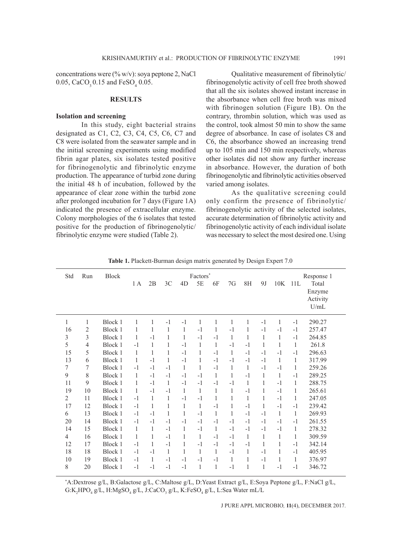concentrations were  $(\% w/v)$ : soya peptone 2, NaCl 0.05,  $CaCO_3$  0.15 and  $FeSO_4$  0.05.

#### **RESULTS**

# **Isolation and screening**

In this study, eight bacterial strains designated as C1, C2, C3, C4, C5, C6, C7 and C8 were isolated from the seawater sample and in the initial screening experiments using modified fibrin agar plates, six isolates tested positive for fibrinogenolytic and fibrinolytic enzyme production. The appearance of turbid zone during the initial 48 h of incubation, followed by the appearance of clear zone within the turbid zone after prolonged incubation for 7 days (Figure 1A) indicated the presence of extracellular enzyme. Colony morphologies of the 6 isolates that tested positive for the production of fibrinogenolytic/ fibrinolytic enzyme were studied (Table 2).

Qualitative measurement of fibrinolytic/ fibrinogenolytic activity of cell free broth showed that all the six isolates showed instant increase in the absorbance when cell free broth was mixed with fibrinogen solution (Figure 1B). On the contrary, thrombin solution, which was used as the control, took almost 50 min to show the same degree of absorbance. In case of isolates C8 and C6, the absorbance showed an increasing trend up to 105 min and 150 min respectively, whereas other isolates did not show any further increase in absorbance. However, the duration of both fibrinogenolytic and fibrinolytic activities observed varied among isolates.

As the qualitative screening could only confirm the presence of fibrinolytic/ fibrinogenolytic activity of the selected isolates, accurate determination of fibrinolytic activity and fibrinogenolytic activity of each individual isolate was necessary to select the most desired one. Using

| Std            | Run            | <b>Block</b> | Factors*     |      |      |              |      |      |      |              | Response 1 |      |      |          |
|----------------|----------------|--------------|--------------|------|------|--------------|------|------|------|--------------|------------|------|------|----------|
|                |                |              | 1 A          | 2B   | 3C   | 4D           | 5E   | 6F   | 7G   | 8H           | 9J         | 10K  | 11L  | Total    |
|                |                |              |              |      |      |              |      |      |      |              |            |      |      | Enzyme   |
|                |                |              |              |      |      |              |      |      |      |              |            |      |      | Activity |
|                |                |              |              |      |      |              |      |      |      |              |            |      |      | U/mL     |
| 1              | 1              | Block 1      | 1            | 1    | $-1$ | $-1$         | 1    | 1    | 1    | 1            | $-1$       | 1    | $-1$ | 290.27   |
| 16             | $\mathfrak{2}$ | Block 1      | 1            | 1    | 1    | 1            | $-1$ | 1    | $-1$ | 1            | $-1$       | $-1$ | $-1$ | 257.47   |
| $\mathfrak{Z}$ | 3              | Block 1      | 1            | $-1$ | 1    | 1            | $-1$ | $-1$ | 1    | 1            | 1          | 1    | $-1$ | 264.85   |
| 5              | 4              | Block 1      | $-1$         | 1    | 1    | $-1$         | 1    | 1    | $-1$ | $-1$         | 1          | 1    | 1    | 261.8    |
| 15             | 5              | Block 1      | 1            | 1    | 1    | $-1$         | 1    | $-1$ | 1    | $-1$         | $-1$       | $-1$ | $-1$ | 296.63   |
| 13             | 6              | Block 1      | 1            | $-1$ | 1    | $-1$         | 1    | $-1$ | $-1$ | $-1$         | $-1$       | 1    | 1    | 317.99   |
| 7              | 7              | Block 1      | $-1$         | $-1$ | $-1$ | $\mathbf{1}$ | 1    | $-1$ | 1    | $\mathbf{1}$ | $-1$       | $-1$ | 1    | 259.26   |
| 9              | 8              | Block 1      | 1            | $-1$ | $-1$ | $-1$         | $-1$ | 1    | 1    | $-1$         | 1          | 1    | $-1$ | 289.25   |
| 11             | 9              | Block 1      | $\mathbf{1}$ | $-1$ | 1    | $-1$         | $-1$ | $-1$ | $-1$ | 1            | 1          | $-1$ | 1    | 288.75   |
| 19             | 10             | Block 1      | 1            | $-1$ | $-1$ | 1            | 1    | 1    | 1    | $-1$         | 1          | $-1$ | 1    | 265.61   |
| $\overline{c}$ | 11             | Block 1      | $-1$         | 1    | 1    | $-1$         | $-1$ | 1    | 1    | 1            | 1          | $-1$ | 1    | 247.05   |
| 17             | 12             | Block 1      | $-1$         | 1    | 1    | 1            | 1    | $-1$ | 1    | $-1$         | 1          | $-1$ | $-1$ | 239.42   |
| 6              | 13             | Block 1      | $-1$         | $-1$ | 1    | 1            | $-1$ | 1    | 1    | $-1$         | $-1$       | 1    | 1    | 269.93   |
| 20             | 14             | Block 1      | $-1$         | $-1$ | $-1$ | $-1$         | $-1$ | $-1$ | $-1$ | $-1$         | $-1$       | $-1$ | $-1$ | 261.55   |
| 14             | 15             | Block 1      | 1            | 1    | $-1$ | 1            | $-1$ | 1    | $-1$ | $-1$         | $-1$       | $-1$ | 1    | 278.32   |
| $\overline{4}$ | 16             | Block 1      | 1            | 1    | $-1$ | 1            | 1    | $-1$ | $-1$ | 1            | 1          | 1    | 1    | 309.59   |
| 12             | 17             | Block 1      | $-1$         | 1    | $-1$ |              | $-1$ | $-1$ | $-1$ | $-1$         | 1          | 1    | $-1$ | 342.14   |
| 18             | 18             | Block 1      | $-1$         | $-1$ | 1    | 1            | 1    | 1    | $-1$ | 1            | $-1$       | 1    | $-1$ | 405.95   |
| $10\,$         | 19             | Block 1      | $-1$         | 1    | $-1$ | $-1$         | $-1$ | $-1$ | 1    | 1            | $-1$       | 1    | 1    | 376.97   |
| $\,$ 8 $\,$    | 20             | Block 1      | $-1$         | $-1$ | $-1$ | $-1$         | 1    | 1    | $-1$ | 1            | 1          | $-1$ | $-1$ | 346.72   |

**Table 1.** Plackett-Burman design matrix generated by Design Expert 7.0

\* A:Dextrose g/L, B:Galactose g/L, C:Maltose g/L, D:Yeast Extract g/L, E:Soya Peptone g/L, F:NaCl g/L, G:K<sub>2</sub>HPO<sub>4</sub> g/L, H:MgSO<sub>4</sub> g/L, J:CaCO<sub>3</sub> g/L, K:FeSO<sub>4</sub> g/L, L:Sea Water mL/L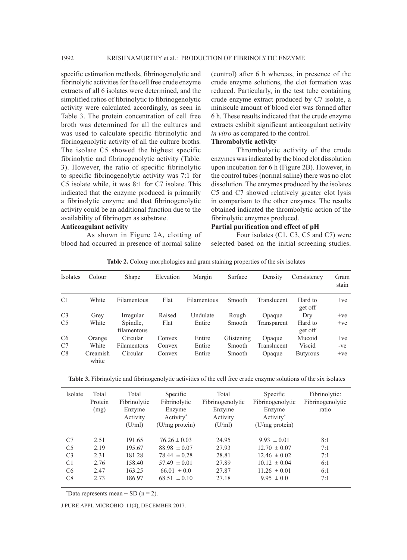specific estimation methods, fibrinogenolytic and fibrinolytic activities for the cell free crude enzyme extracts of all 6 isolates were determined, and the simplified ratios of fibrinolytic to fibrinogenolytic activity were calculated accordingly, as seen in Table 3. The protein concentration of cell free broth was determined for all the cultures and was used to calculate specific fibrinolytic and fibrinogenolytic activity of all the culture broths. The isolate C5 showed the highest specific fibrinolytic and fibrinogenolytic activity (Table. 3). However, the ratio of specific fibrinolytic to specific fibrinogenolytic activity was 7:1 for C5 isolate while, it was 8:1 for C7 isolate. This indicated that the enzyme produced is primarily a fibrinolytic enzyme and that fibrinogenolytic activity could be an additional function due to the availability of fibrinogen as substrate.

# **Anticoagulant activity**

As shown in Figure 2A, clotting of blood had occurred in presence of normal saline

(control) after 6 h whereas, in presence of the crude enzyme solutions, the clot formation was reduced. Particularly, in the test tube containing crude enzyme extract produced by C7 isolate, a miniscule amount of blood clot was formed after 6 h. These results indicated that the crude enzyme extracts exhibit significant anticoagulant activity *in vitro* as compared to the control.

#### **Thrombolytic activity**

Thrombolytic activity of the crude enzymes was indicated by the blood clot dissolution upon incubation for 6 h (Figure 2B). However, in the control tubes (normal saline) there was no clot dissolution. The enzymes produced by the isolates C5 and C7 showed relatively greater clot lysis in comparison to the other enzymes. The results obtained indicated the thrombolytic action of the fibrinolytic enzymes produced.

# **Partial purification and effect of pH**

Four isolates (C1, C3, C5 and C7) were selected based on the initial screening studies.

| Isolates       | Colour            | Shape                   | Elevation | Margin             | Surface    | Density     | Consistency        | Gram<br>stain |
|----------------|-------------------|-------------------------|-----------|--------------------|------------|-------------|--------------------|---------------|
| C <sub>1</sub> | White             | Filamentous             | Flat      | <b>Filamentous</b> | Smooth     | Translucent | Hard to<br>get off | $+ve$         |
| C <sub>3</sub> | Grey              | Irregular               | Raised    | Undulate           | Rough      | Opaque      | Dry                | $+ve$         |
| C <sub>5</sub> | White             | Spindle.<br>filamentous | Flat      | Entire             | Smooth     | Transparent | Hard to<br>get off | $+ve$         |
| C <sub>6</sub> | Orange            | Circular                | Convex    | Entire             | Glistening | Opaque      | Mucoid             | $+ve$         |
| C7             | White             | Filamentous             | Convex    | Entire             | Smooth     | Translucent | Viscid             | -ve           |
| C8             | Creamish<br>white | Circular                | Convex    | Entire             | Smooth     | Opaque      | <b>Butyrous</b>    | $+ve$         |

**Table 2.** Colony morphologies and gram staining properties of the six isolates

**Table 3.** Fibrinolytic and fibrinogenolytic activities of the cell free crude enzyme solutions of the six isolates

| Isolate        | Total<br>Protein<br>(mg) | Total<br>Fibrinolytic<br>Enzyme<br>Activity<br>(U/ml) | Specific<br>Fibrinolytic<br>Enzyme<br>Activity*<br>$(U/mg)$ protein) | Total<br>Fibrinogenolytic<br>Enzyme<br>Activity<br>(U/ml) | Specific<br>Fibrinogenolytic<br>Enzyme<br>Activity*<br>$(U/mg)$ protein) | Fibrinolytic:<br>Fibrinogenolytic<br>ratio |
|----------------|--------------------------|-------------------------------------------------------|----------------------------------------------------------------------|-----------------------------------------------------------|--------------------------------------------------------------------------|--------------------------------------------|
| C <sub>7</sub> | 2.51                     | 191.65                                                | $76.26 \pm 0.03$                                                     | 24.95                                                     | $9.93 \pm 0.01$                                                          | 8:1                                        |
| C <sub>5</sub> | 2.19                     | 195.67                                                | $88.98 \pm 0.07$                                                     | 27.93                                                     | $12.70 \pm 0.07$                                                         | 7:1                                        |
| C <sub>3</sub> | 2.31                     | 181.28                                                | $78.44 \pm 0.28$                                                     | 28.81                                                     | $12.46 \pm 0.02$                                                         | 7:1                                        |
| C <sub>1</sub> | 2.76                     | 158.40                                                | $57.49 \pm 0.01$                                                     | 27.89                                                     | $10.12 \pm 0.04$                                                         | 6:1                                        |
| C <sub>6</sub> | 2.47                     | 163.25                                                | $66.01 \pm 0.0$                                                      | 27.87                                                     | $11.26 \pm 0.01$                                                         | 6:1                                        |
| C8             | 2.73                     | 186.97                                                | $68.51 \pm 0.10$                                                     | 27.18                                                     | $9.95 \pm 0.0$                                                           | 7:1                                        |

\*Data represents mean  $\pm$  SD (n = 2).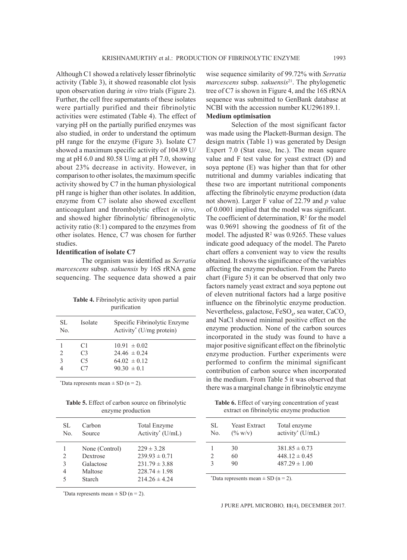Although C1 showed a relatively lesser fibrinolytic activity (Table 3), it showed reasonable clot lysis upon observation during *in vitro* trials (Figure 2). Further, the cell free supernatants of these isolates were partially purified and their fibrinolytic activities were estimated (Table 4). The effect of varying pH on the partially purified enzymes was also studied, in order to understand the optimum pH range for the enzyme (Figure 3). Isolate C7 showed a maximum specific activity of 104.89 U/ mg at pH 6.0 and 80.58 U/mg at pH 7.0, showing about 23% decrease in activity. However, in comparison to other isolates, the maximum specific activity showed by C7 in the human physiological pH range is higher than other isolates. In addition, enzyme from C7 isolate also showed excellent anticoagulant and thrombolytic effect *in vitro*, and showed higher fibrinolytic/ fibrinogenolytic activity ratio (8:1) compared to the enzymes from other isolates. Hence, C7 was chosen for further studies.

# **Identification of isolate C7**

The organism was identified as *Serratia marcescens* subsp. *sakuensis* by 16S rRNA gene sequencing. The sequence data showed a pair

| <b>Table 4.</b> Fibrinolytic activity upon partial |  |
|----------------------------------------------------|--|
| purification                                       |  |

| SL.<br>No.     | Isolate        | Specific Fibrinolytic Enzyme<br>Activity <sup>*</sup> (U/mg protein) |
|----------------|----------------|----------------------------------------------------------------------|
|                | C1             | $10.91 \pm 0.02$                                                     |
| $\mathfrak{D}$ | C <sub>3</sub> | $24.46 \pm 0.24$                                                     |
| $\mathcal{E}$  | C <sub>5</sub> | $64.02 \pm 0.12$                                                     |
|                | ( '7           | $9030 \pm 01$                                                        |
|                |                |                                                                      |

\*Data represents mean  $\pm$  SD (n = 2).

**Table 5.** Effect of carbon source on fibrinolytic enzyme production

| SL.         | Carbon                                                              | <b>Total Enzyme</b>                                                                                |
|-------------|---------------------------------------------------------------------|----------------------------------------------------------------------------------------------------|
| No.         | Source                                                              | Activity <sup>*</sup> (U/mL)                                                                       |
| 2<br>3<br>5 | None (Control)<br>Dextrose<br>Galactose<br>Maltose<br><b>Starch</b> | $229 \pm 3.28$<br>$239.93 \pm 0.71$<br>$231.79 \pm 3.88$<br>$228.74 \pm 1.98$<br>$214.26 \pm 4.24$ |

\*Data represents mean  $\pm$  SD (n = 2).

wise sequence similarity of 99.72% with *Serratia marcescens* subsp. *sakuensis*21. The phylogenetic tree of C7 is shown in Figure 4, and the 16S rRNA sequence was submitted to GenBank database at NCBI with the accession number KU296189.1. **Medium optimisation**

Selection of the most significant factor was made using the Plackett-Burman design. The design matrix (Table 1) was generated by Design Expert 7.0 (Stat ease, Inc.). The mean square value and F test value for yeast extract (D) and soya peptone (E) was higher than that for other nutritional and dummy variables indicating that these two are important nutritional components affecting the fibrinolytic enzyme production (data not shown). Larger F value of 22.79 and *p* value of 0.0001 implied that the model was significant. The coefficient of determination,  $R^2$  for the model was 0.9691 showing the goodness of fit of the model. The adjusted  $\mathbb{R}^2$  was 0.9265. These values indicate good adequacy of the model. The Pareto chart offers a convenient way to view the results obtained. It shows the significance of the variables affecting the enzyme production. From the Pareto chart (Figure 5) it can be observed that only two factors namely yeast extract and soya peptone out of eleven nutritional factors had a large positive influence on the fibrinolytic enzyme production. Nevertheless, galactose,  $\text{FeSO}_4$ , sea water,  $\text{CaCO}_3$ and NaCl showed minimal positive effect on the enzyme production. None of the carbon sources incorporated in the study was found to have a major positive significant effect on the fibrinolytic enzyme production. Further experiments were performed to confirm the minimal significant contribution of carbon source when incorporated in the medium. From Table 5 it was observed that there was a marginal change in fibrinolytic enzyme

**Table 6.** Effect of varying concentration of yeast extract on fibrinolytic enzyme production

| SL.<br>No. | Yeast Extract<br>$(\% w/v)$ | Total enzyme<br>activity <sup>*</sup> (U/mL) |  |
|------------|-----------------------------|----------------------------------------------|--|
|            | 30                          | $381.85 \pm 0.73$                            |  |
|            | 60                          | $448.12 \pm 0.45$                            |  |
|            | 90                          | $487.29 \pm 1.00$                            |  |
|            |                             |                                              |  |

\*Data represents mean  $\pm$  SD (n = 2).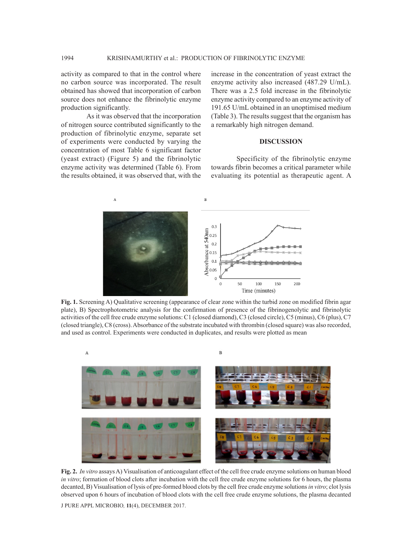activity as compared to that in the control where no carbon source was incorporated. The result obtained has showed that incorporation of carbon source does not enhance the fibrinolytic enzyme production significantly.

As it was observed that the incorporation of nitrogen source contributed significantly to the production of fibrinolytic enzyme, separate set of experiments were conducted by varying the concentration of most Table 6 significant factor (yeast extract) (Figure 5) and the fibrinolytic enzyme activity was determined (Table 6). From the results obtained, it was observed that, with the increase in the concentration of yeast extract the enzyme activity also increased (487.29 U/mL). There was a 2.5 fold increase in the fibrinolytic enzyme activity compared to an enzyme activity of 191.65 U/mL obtained in an unoptimised medium (Table 3). The results suggest that the organism has a remarkably high nitrogen demand.

## **DISCUSSION**

Specificity of the fibrinolytic enzyme towards fibrin becomes a critical parameter while evaluating its potential as therapeutic agent. A



**Fig. 1.** Screening A) Qualitative screening (appearance of clear zone within the turbid zone on modified fibrin agar plate), B) Spectrophotometric analysis for the confirmation of presence of the fibrinogenolytic and fibrinolytic activities of the cell free crude enzyme solutions: C1 (closed diamond), C3 (closed circle), C5 (minus), C6 (plus), C7 (closed triangle), C8 (cross). Absorbance of the substrate incubated with thrombin (closed square) was also recorded, and used as control. Experiments were conducted in duplicates, and results were plotted as mean



**Fig. 2.** *In vitro* assays A) Visualisation of anticoagulant effect of the cell free crude enzyme solutions on human blood *in vitro*; formation of blood clots after incubation with the cell free crude enzyme solutions for 6 hours, the plasma decanted, B) Visualisation of lysis of pre-formed blood clots by the cell free crude enzyme solutions *in vitro*; clot lysis observed upon 6 hours of incubation of blood clots with the cell free crude enzyme solutions, the plasma decanted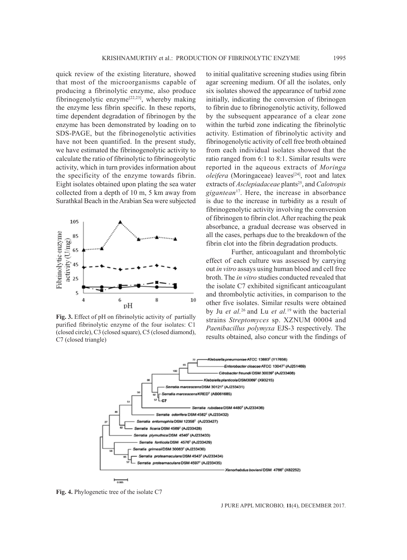quick review of the existing literature, showed that most of the microorganisms capable of producing a fibrinolytic enzyme, also produce fibrinogenolytic enzyme[22,23], whereby making the enzyme less fibrin specific. In these reports, time dependent degradation of fibrinogen by the enzyme has been demonstrated by loading on to SDS-PAGE, but the fibrinogenolytic activities have not been quantified. In the present study, we have estimated the fibrinogenolytic activity to calculate the ratio of fibrinolytic to fibrinogeolytic activity, which in turn provides information about the specificity of the enzyme towards fibrin. Eight isolates obtained upon plating the sea water collected from a depth of 10 m, 5 km away from Surathkal Beach in the Arabian Sea were subjected



**Fig. 3.** Effect of pH on fibrinolytic activity of partially purified fibrinolytic enzyme of the four isolates: C1 (closed circle), C3 (closed square), C5 (closed diamond), C7 (closed triangle)

to initial qualitative screening studies using fibrin agar screening medium. Of all the isolates, only six isolates showed the appearance of turbid zone initially, indicating the conversion of fibrinogen to fibrin due to fibrinogenolytic activity, followed by the subsequent appearance of a clear zone within the turbid zone indicating the fibrinolytic activity. Estimation of fibrinolytic activity and fibrinogenolytic activity of cell free broth obtained from each individual isolates showed that the ratio ranged from 6:1 to 8:1. Similar results were reported in the aqueous extracts of *Moringa oleifera* (Moringaceae) leaves<sup>[24]</sup>, root and latex extracts of *Asclepiadaceae* plants<sup>25</sup>, and *Calotropis gigantean*17. Here, the increase in absorbance is due to the increase in turbidity as a result of fibrinogenolytic activity involving the conversion of fibrinogen to fibrin clot. After reaching the peak absorbance, a gradual decrease was observed in all the cases, perhaps due to the breakdown of the fibrin clot into the fibrin degradation products.

Further, anticoagulant and thrombolytic effect of each culture was assessed by carrying out *in vitro* assays using human blood and cell free broth. The *in vitro* studies conducted revealed that the isolate C7 exhibited significant anticoagulant and thrombolytic activities, in comparison to the other five isolates. Similar results were obtained by Ju *et al.*26 and Lu *et al.*<sup>19</sup> with the bacterial strains *Streptomyces* sp. XZNUM 00004 and *Paenibacillus polymyxa* EJS-3 respectively. The results obtained, also concur with the findings of



**Fig. 4.** Phylogenetic tree of the isolate C7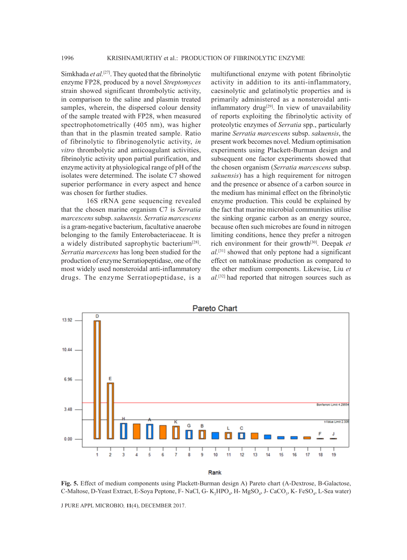Simkhada *et al.*[27]. They quoted that the fibrinolytic enzyme FP28, produced by a novel *Streptomyces* strain showed significant thrombolytic activity, in comparison to the saline and plasmin treated samples, wherein, the dispersed colour density of the sample treated with FP28, when measured spectrophotometrically (405 nm), was higher than that in the plasmin treated sample. Ratio of fibrinolytic to fibrinogenolytic activity, *in vitro* thrombolytic and anticoagulant activities, fibrinolytic activity upon partial purification, and enzyme activity at physiological range of pH of the isolates were determined. The isolate C7 showed superior performance in every aspect and hence was chosen for further studies.

16S rRNA gene sequencing revealed that the chosen marine organism C7 is *Serratia marcescens* subsp. *sakuensis. Serratia marcescens*  is a gram-negative bacterium, facultative anaerobe belonging to the family Enterobacteriaceae. It is a widely distributed saprophytic bacterium<sup>[28]</sup>. *Serratia marcescens* has long been studied for the production of enzyme Serratiopeptidase, one of the most widely used nonsteroidal anti-inflammatory drugs. The enzyme Serratiopeptidase, is a

multifunctional enzyme with potent fibrinolytic activity in addition to its anti-inflammatory, caesinolytic and gelatinolytic properties and is primarily administered as a nonsteroidal antiinflammatory drug<sup>[29]</sup>. In view of unavailability of reports exploiting the fibrinolytic activity of proteolytic enzymes of *Serratia* spp., particularly marine *Serratia marcescens* subsp. *sakuensis*, the present work becomes novel. Medium optimisation experiments using Plackett-Burman design and subsequent one factor experiments showed that the chosen organism (*Serratia marcescens* subsp. *sakuensis*) has a high requirement for nitrogen and the presence or absence of a carbon source in the medium has minimal effect on the fibrinolytic enzyme production. This could be explained by the fact that marine microbial communities utilise the sinking organic carbon as an energy source, because often such microbes are found in nitrogen limiting conditions, hence they prefer a nitrogen rich environment for their growth[30]. Deepak *et al.*[31] showed that only peptone had a significant effect on nattokinase production as compared to the other medium components. Likewise, Liu *et al.*[32] had reported that nitrogen sources such as



**Fig. 5.** Effect of medium components using Plackett-Burman design A) Pareto chart (A-Dextrose, B-Galactose, C-Maltose, D-Yeast Extract, E-Soya Peptone, F- NaCl, G-  $K_2HPO_4$ , H-  $MgSO_4$ , J- CaCO<sub>3</sub>, K- FeSO<sub>4</sub>, L-Sea water)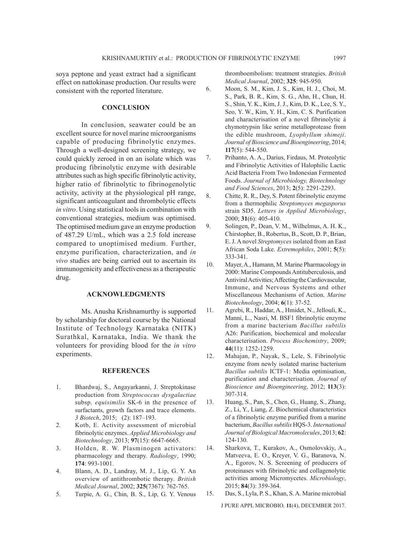soya peptone and yeast extract had a significant effect on nattokinase production. Our results were consistent with the reported literature.

**CONCLUSION**

In conclusion, seawater could be an excellent source for novel marine microorganisms capable of producing fibrinolytic enzymes. Through a well-designed screening strategy, we could quickly zeroed in on an isolate which was producing fibrinolytic enzyme with desirable attributes such as high specific fibrinolytic activity, higher ratio of fibrinolytic to fibrinogenolytic activity, activity at the physiological pH range, significant anticoagulant and thrombolytic effects *in vitro*. Using statistical tools in combination with conventional strategies, medium was optimised. The optimised medium gave an enzyme production of 487.29 U/mL, which was a 2.5 fold increase compared to unoptimised medium. Further, enzyme purification, characterization, and *in vivo* studies are being carried out to ascertain its immunogenicity and effectiveness as a therapeutic drug.

# **ACKNOWLEDGMENTS**

Ms. Anusha Krishnamurthy is supported by scholarship for doctoral course by the National Institute of Technology Karnataka (NITK) Surathkal, Karnataka, India. We thank the volunteers for providing blood for the *in vitro* experiments.

#### **REFERENCES**

- 1. Bhardwaj, S., Angayarkanni, J. Streptokinase production from *Streptococcus dysgalactiae* subsp. *equisimilis* SK-6 in the presence of surfactants, growth factors and trace elements. *3 Biotech*, 2015; (2): 187–193.
- 2. Kotb, E. Activity assessment of microbial fibrinolytic enzymes. *Applied Microbiology and Biotechnology*, 2013; **97**(15): 6647-6665.
- 3. Holden, R. W. Plasminogen activators: pharmacology and therapy. *Radiology*, 1990; **174**: 993-1001.
- 4. Blann, A. D., Landray, M. J., Lip, G. Y. An overview of antithrombotic therapy. *British Medical Journal*, 2002; **325**(7367): 762-765.
- 5. Turpie, A. G., Chin, B. S., Lip, G. Y. Venous

thromboembolism: treatment strategies. *British Medical Journal*, 2002; **325**: 945-950.

- 6. Moon, S. M., Kim, J. S., Kim, H. J., Choi, M. S., Park, B. R., Kim, S. G., Ahn, H., Chun, H. S., Shin, Y. K., Kim, J. J., Kim, D. K., Lee, S. Y., Seo, Y. W., Kim, Y. H., Kim, C. S. Purification and characterisation of a novel fibrinolytic á chymotrypsin like serine metalloprotease from the edible mushroom, *Lyophyllum shimeji*. *Journal of Bioscience and Bioengineering*, 2014; **117**(5): 544-550.
- 7. Prihanto, A. A., Darius, Firdaus, M. Proteolytic and Fibrinolytic Activities of Halophilic Lactic Acid Bacteria From Two Indonesian Fermented Foods. *Journal of Microbiology, Biotechnology and Food Sciences*, 2013; **2**(5): 2291-2293.
- 8. Chitte, R. R., Dey, S. Potent fibrinolytic enzyme from a thermophilic *Streptomyces megasporus* strain SD5. *Letters in Applied Microbiology*, 2000; **31**(6): 405-410.
- 9. Solingen, P., Dean, V. M., Wilhelmus, A. H. K., Chirstopher, B., Robertus, B., Scott, D. P., Brian, E. J. A novel *Streptomyces* isolated from an East African Soda Lake. *Extremophiles*, 2001; **5**(5): 333-341.
- 10. Mayer, A., Hamann, M. Marine Pharmacology in 2000: Marine Compounds Antituberculosis, and Antiviral Activities; Affecting the Cardiovascular, Immune, and Nervous Systems and other Miscellaneous Mechanisms of Action. *Marine Biotechnology*, 2004; **6**(1): 37-52.
- 11. Agrebi, R., Haddar, A., Hmidet, N., Jellouli, K., Manni, L., Nasri, M. BSF1 fibrinolytic enzyme from a marine bacterium *Bacillus subtilis* A26: Purification, biochemical and molecular characterisation. *Process Biochemistry*, 2009; **44**(11): 1252-1259.
- 12. Mahajan, P., Nayak, S., Lele, S. Fibrinolytic enzyme from newly isolated marine bacterium *Bacillus subtilis* ICTF-1: Media optimisation, purification and characterisation. *Journal of Bioscience and Bioengineering*, 2012; **113**(3): 307-314.
- 13. Huang, S., Pan, S., Chen, G., Huang, S., Zhang, Z., Li, Y., Liang, Z. Biochemical characteristics of a fibrinolytic enzyme purified from a marine bacterium, *Bacillus subtilis* HQS-3. *International Journal of Biological Macromolecules*, 2013; **62**: 124-130.
- 14. Sharkova, T., Kurakov, A., Osmolovskiy, A., Matveeva, E. O., Kreyer, V. G., Baranova, N. A., Egorov, N. S. Screening of producers of proteinases with fibrinolytic and collagenolytic activities among Micromycetes. *Microbiology*, 2015; **84**(3): 359-364.
- 15. Das, S., Lyla, P. S., Khan, S. A. Marine microbial